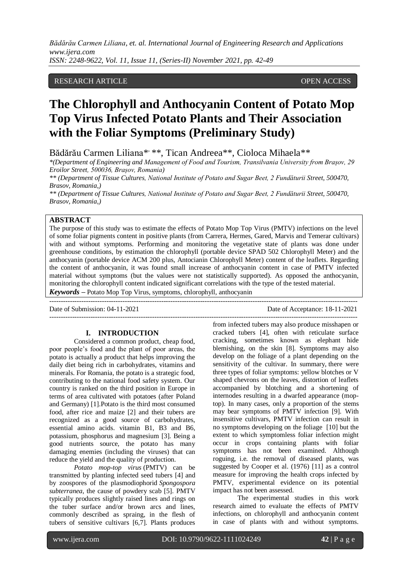RESEARCH ARTICLE **OPEN ACCESS** 

# **The Chlorophyll and Anthocyanin Content of Potato Mop Top Virus Infected Potato Plants and Their Association with the Foliar Symptoms (Preliminary Study)**

Bădărău Carmen Liliana\*<sup>\*</sup>\*, Tican Andreea<sup>\*\*</sup>, Cioloca Mihaela<sup>\*\*</sup>

*\*(Department of Engineering and Management of Food and Tourism, Transilvania University from Brașov, 29 Eroilor Street, 500036, Brașov, Romania)*

*\*\* (Department of Tissue Cultures, National Institute of Potato and Sugar Beet, 2 Fundăturii Street, 500470, Brasov, Romania,)*

*\*\* (Department of Tissue Cultures, National Institute of Potato and Sugar Beet, 2 Fundăturii Street, 500470, Brasov, Romania,)*

## **ABSTRACT**

The purpose of this study was to estimate the effects of Potato Mop Top Virus (PMTV) infections on the level of some foliar pigments content in positive plants (from Carrera, Hermes, Gared, Marvis and Temerar cultivars) with and without symptoms. Performing and monitoring the vegetative state of plants was done under greenhouse conditions, by estimation the chlorophyll (portable device SPAD 502 Chlorophyll Meter) and the anthocyanin (portable device ACM 200 plus, Antocianin Chlorophyll Meter) content of the leaflets. Regarding the content of anthocyanin, it was found small increase of anthocyanin content in case of PMTV infected material without symptoms (but the values were not statistically supported). As opposed the anthocyanin, monitoring the chlorophyll content indicated significant correlations with the type of the tested material. *Keywords* **–** Potato Mop Top Virus, symptoms, chlorophyll, anthocyanin

---------------------------------------------------------------------------------------------------------------------------------------

Date of Submission: 04-11-2021 Date of Acceptance: 18-11-2021 ---------------------------------------------------------------------------------------------------------------------------------------

# **I. INTRODUCTION**

Considered a common product, cheap food, poor people's food and the plant of poor areas, the potato is actually a product that helps improving the daily diet being rich in carbohydrates, vitamins and minerals. For Romania, the potato is a strategic food, contributing to the national food safety system. Our country is ranked on the third position in Europe in terms of area cultivated with potatoes (after Poland and Germany) [1].Potato is the third most consumed food, after rice and maize [2] and their tubers are recognized as a good source of carbohydrates, essential amino acids. vitamin B1, B3 and B6, potassium, phosphorus and magnesium [3]. Being a good nutrients source, the potato has many damaging enemies (including the viruses) that can reduce the yield and the quality of production.

*Potato mop-top virus* (PMTV) can be transmitted by planting infected seed tubers [4] and by zoospores of the plasmodiophorid *Spongospora subterranea*, the cause of powdery scab [5]. PMTV typically produces slightly raised lines and rings on the tuber surface and/or brown arcs and lines, commonly described as spraing, in the flesh of tubers of sensitive cultivars [6,7]. Plants produces

from infected tubers may also produce misshapen or cracked tubers [4], often with reticulate surface cracking, sometimes known as elephant hide blemishing, on the skin [8]. Symptoms may also develop on the foliage of a plant depending on the sensitivity of the cultivar. In summary, there were three types of foliar symptoms: yellow blotches or V shaped chevrons on the leaves, distortion of leaflets accompanied by blotching and a shortening of internodes resulting in a dwarfed appearance (moptop). In many cases, only a proportion of the stems may bear symptoms of PMTV infection [9]. With insensitive cultivars, PMTV infection can result in no symptoms developing on the foliage [10] but the extent to which symptomless foliar infection might occur in crops containing plants with foliar symptoms has not been examined. Although roguing, i.e. the removal of diseased plants, was suggested by Cooper et al. (1976) [11] as a control measure for improving the health crops infected by PMTV, experimental evidence on its potential impact has not been assessed.

The experimental studies in this work research aimed to evaluate the effects of PMTV infections, on chlorophyll and anthocyanin content in case of plants with and without symptoms.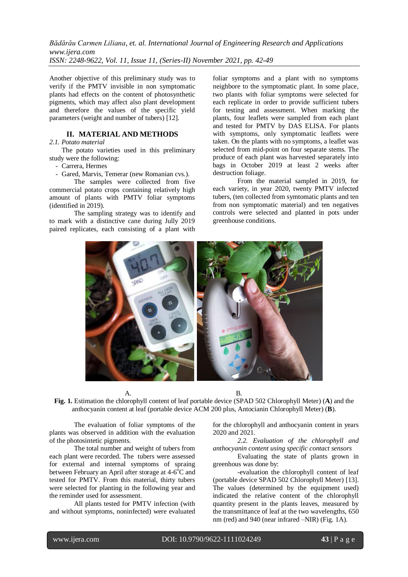Another objective of this preliminary study was to verify if the PMTV invisible in non symptomatic plants had effects on the content of photosynthetic pigments, which may affect also plant development and therefore the values of the specific yield parameters (weight and number of tubers) [12].

### **II. MATERIAL AND METHODS**

## *2.1. Potato material*

The potato varieties used in this preliminary study were the following:

- Carrera, Hermes

- Gared, Marvis, Temerar (new Romanian cvs.).

The samples were collected from five commercial potato crops containing relatively high amount of plants with PMTV foliar symptoms (identified in 2019).

The sampling strategy was to identify and to mark with a distinctive cane during Jully 2019 paired replicates, each consisting of a plant with

foliar symptoms and a plant with no symptoms neighbore to the symptomatic plant. In some place, two plants with foliar symptoms were selected for each replicate in order to provide sufficient tubers for testing and assessment. When marking the plants, four leaflets were sampled from each plant and tested for PMTV by DAS ELISA. For plants with symptoms, only symptomatic leaflets were taken. On the plants with no symptoms, a leaflet was selected from mid-point on four separate stems. The produce of each plant was harvested separately into bags in October 2019 at least 2 weeks after destruction foliage.

From the material sampled in 2019, for each variety, in year 2020, twenty PMTV infected tubers, (ten collected from symtomatic plants and ten from non symptomatic material) and ten negatives controls were selected and planted in pots under greenhouse conditions.



A. B.

**Fig. 1.** Estimation the chlorophyll content of leaf portable device (SPAD 502 Chlorophyll Meter) (**A**) and the anthocyanin content at leaf (portable device ACM 200 plus, Antocianin Chlorophyll Meter) (**B**).

The evaluation of foliar symptoms of the plants was observed in addition with the evaluation of the photosintetic pigments.

The total number and weight of tubers from each plant were recorded. The tubers were assessed for external and internal symptoms of spraing between February an April after storage at 4-6<sup>°</sup>C and tested for PMTV. From this material, thirty tubers were selected for planting in the following year and the reminder used for assessment.

All plants tested for PMTV infection (with and without symptoms, noninfected) were evaluated for the chlorophyll and anthocyanin content in years 2020 and 2021.

*2.2. Evaluation of the chlorophyll and anthocyanin content using specific contact sensors*

Evaluating the state of plants grown in greenhous was done by:

-evaluation the chlorophyll content of leaf (portable device SPAD 502 Chlorophyll Meter) [13]. The values (determined by the equipment used) indicated the relative content of the chlorophyll quantity present in the plants leaves, measured by the transmittance of leaf at the two wavelengths, 650 nm (red) and 940 (near infrared –NIR) (Fig. 1A).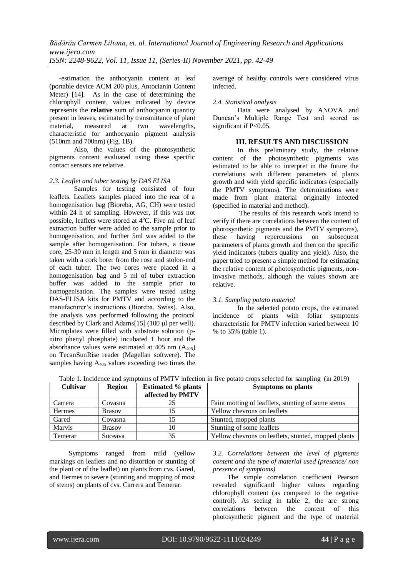-estimation the anthocyanin content at leaf (portable device ACM 200 plus, Antocianin Content Meter) [14]. As in the case of determining the chlorophyll content, values indicated by device represents the **relative** sum of anthocyanin quantity present in leaves, estimated by transmittance of plant material, measured at two wavelengths, characteristic for anthocyanin pigment analysis (510nm and 700nm) (Fig. 1B).

Also, the values of the photosynthetic pigments content evaluated using these specific contact sensors are relative.

## *2.3. Leaflet and tuber testing by DAS ELISA*

Samples for testing consisted of four leaflets. Leaflets samples placed into the rear of a homogenisation bag (Bioreba, AG, CH) were tested within 24 h of sampling. However, if this was not possible, leaflets were stored at  $4^{\circ}$ C. Five ml of leaf extraction buffer were added to the sample prior to homogenisation, and further 5ml was added to the sample after homogenisation. For tubers, a tissue core, 25-30 mm in length and 5 mm in diameter was taken with a cork borer from the rose and stolon-end of each tuber. The two cores were placed in a homogenisation bag and 5 ml of tuber extraction buffer was added to the sample prior to homogenisation. The samples were tested using DAS-ELISA kits for PMTV and according to the manufacturer's instructions (Bioreba, Swiss). Also, the analysis was performed following the protocol described by Clark and Adams $[15]$  (100  $\mu$  per well). Microplates were filled with substrate solution (pnitro phenyl phosphate) incubated 1 hour and the absorbance values were estimated at  $405 \text{ nm}$  (A<sub>405</sub>) on TecanSunRise reader (Magellan softwere). The samples having  $A_{405}$  values exceeding two times the average of healthy controls were considered virus infected.

#### *2.4. Statistical analysis*

Data were analysed by ANOVA and Duncan's Multiple Range Test and scored as significant if P<0.05.

# **III. RESULTS AND DISCUSSION**

In this preliminary study, the relative content of the photosynthetic pigments was estimated to be able to interpret in the future the correlations with different parameters of plants growth and with yield specific indicators (especially the PMTV symptoms). The determinations were made from plant material originally infected (specified in material and method).

The results of this research work intend to verify if there are correlations between the content of photosynthetic pigments and the PMTV symptoms), these having repercussions on subsequent parameters of plants growth and then on the specific yield indicators (tubers quality and yield). Also, the paper tried to present a simple method for estimating the relative content of photosynthetic pigments, noninvasive methods, although the values shown are relative.

#### *3.1. Sampling potato material*

In the selected potato crops, the estimated incidence of plants with foliar symptoms characteristic for PMTV infection varied between 10 % to 35% (table 1).

| Table 1. Incidence and symptoms of PMTV infection in five potato crops selected for sampling (in 2019) |               |                           |                                                    |  |  |  |  |
|--------------------------------------------------------------------------------------------------------|---------------|---------------------------|----------------------------------------------------|--|--|--|--|
| <b>Cultivar</b>                                                                                        | Region        | <b>Estimated % plants</b> | <b>Symptoms</b> on plants                          |  |  |  |  |
|                                                                                                        |               | affected by PMTV          |                                                    |  |  |  |  |
| Carrera                                                                                                | Covasna       | 25                        | Faint motting of leafllets, stunting of some stems |  |  |  |  |
| <b>Hermes</b>                                                                                          | <b>Brasov</b> |                           | Yellow chevrons on leaflets                        |  |  |  |  |
| Gared                                                                                                  | Covasna       |                           | Stunted, mopped plants                             |  |  |  |  |
| Marvis                                                                                                 | <b>Brasov</b> |                           | Stunting of some leaflets                          |  |  |  |  |

Temerar Suceava 35 Yellow chevrons on leaflets, stunted, mopped plants

Table 1. Incidence and symptoms of PMTV infection in five potato crops selected for sampling (in 2019)

Symptoms ranged from mild (yellow markings on leaflets and no distortion or stunting of the plant or of the leaflet) on plants from cvs. Gared, and Hermes to severe (stunting and mopping of most of stems) on plants of cvs. Carrera and Temerar.

*3.2. Correlations between the level of pigments content and the type of material used (presence/ non presence of symptoms)*

The simple correlation coefficient Pearson revealed significantl higher values regarding chlorophyll content (as compared to the negative control). As seeing in table 2, the are strong correlations between the content of this photosynthetic pigment and the type of material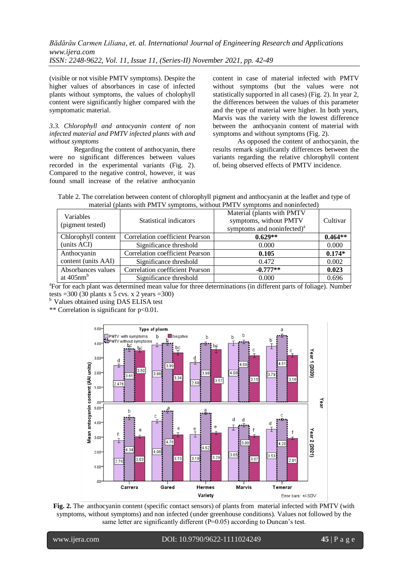(visible or not visible PMTV symptoms). Despite the higher values of absorbances in case of infected plants without symptoms, the values of cholophyll content were significantly higher compared with the symptomatic material.

## *3.3. Chlorophyll and antocyanin content of non infected material and PMTV infected plants with and without symptoms*

Regarding the content of anthocyanin, there were no significant differences between values recorded in the experimental variants (Fig. 2). Compared to the negative control, however, it was found small increase of the relative anthocyanin content in case of material infected with PMTV without symptoms (but the values were not statistically supported in all cases) (Fig. 2). In year 2, the differences between the values of this parameter and the type of material were higher. In both years, Marvis was the variety with the lowest difference between the anthocyanin content of material with symptoms and without symptoms (Fig. 2).

As opposed the content of anthocyanin, the results remark significantly differences between the variants regarding the relative chlorophyll content of, being observed effects of PMTV incidence.

Table 2. The correlation between content of chlorophyll pigment and anthocyanin at the leaflet and type of material (plants with PMTV symptoms, without PMTV symptoms and noninfected)

| <b>Variables</b><br>(pigment tested) | Statistical indicators                 | Material (plants with PMTV<br>symptoms, without PMTV<br>symptoms and noninfected) <sup>a</sup> | Cultivar  |
|--------------------------------------|----------------------------------------|------------------------------------------------------------------------------------------------|-----------|
| Chlorophyll content                  | Correlation coefficient Pearson        | $0.629**$                                                                                      | $0.464**$ |
| (units ACI)                          | Significance threshold                 | 0.000                                                                                          | 0.000     |
| Anthocyanin                          | Correlation coefficient Pearson        | 0.105                                                                                          | $0.174*$  |
| content (units AAI)                  | Significance threshold                 | 0.472                                                                                          | 0.002     |
| Absorbances values                   | <b>Correlation coefficient Pearson</b> | $-0.777**$                                                                                     | 0.023     |
| at $405$ nm <sup>b</sup>             | Significance threshold                 | 0.000                                                                                          | 0.696     |

<sup>a</sup>For for each plant was determined mean value for three determinations (in different parts of foliage). Number tests =300 (30 plants x 5 cvs. x 2 years =300)

<sup>b</sup> Values obtained using DAS ELISA test

\*\* Correlation is significant for p<0.01.



**Fig. 2.** The anthocyanin content (specific contact sensors) of plants from material infected with PMTV (with symptoms, without symptoms) and non infected (under greenhouse conditions). Values not followed by the same letter are significantly different (P=0.05) according to Duncan's test.

www.ijera.com DOI: 10.9790/9622-1111024249 **45** | P a g e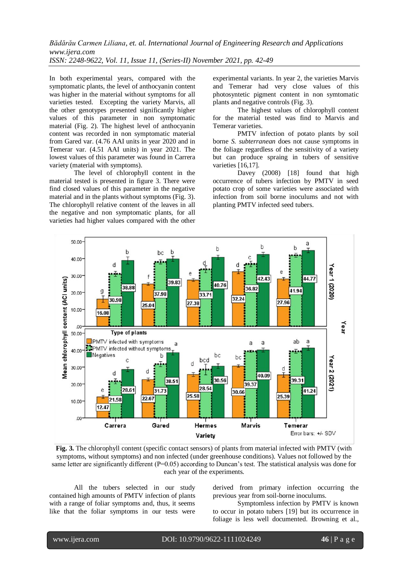In both experimental years, compared with the symptomatic plants, the level of anthocyanin content was higher in the material without symptoms for all varieties tested. Excepting the variety Marvis, all the other genotypes presented significantly higher values of this parameter in non symptomatic material (Fig. 2). The highest level of anthocyanin content was recorded in non symptomatic material from Gared var. (4.76 AAI units in year 2020 and in Temerar var. (4.51 AAI units) in year 2021. The lowest values of this parameter was found in Carrera variety (material with symptoms).

The level of chlorophyll content in the material tested is presented in figure 3. There were find closed values of this parameter in the negative material and in the plants without symptoms (Fig. 3). The chlorophyll relative content of the leaves in all the negative and non symptomatic plants, for all varieties had higher values compared with the other

experimental variants. In year 2, the varieties Marvis and Temerar had very close values of this photosyntetic pigment content in non symtomatic plants and negative controls (Fig. 3).

The highest values of chlorophyll content for the material tested was find to Marvis and Temerar varieties.

PMTV infection of potato plants by soil borne *S. subterranean* does not cause symptoms in the foliage regardless of the sensitivity of a variety but can produce spraing in tubers of sensitive varieties [16,17].

Davey (2008) [18] found that high occurrence of tubers infection by PMTV in seed potato crop of some varieties were associated with infection from soil borne inoculums and not with planting PMTV infected seed tubers.



**Fig. 3.** The chlorophyll content (specific contact sensors) of plants from material infected with PMTV (with symptoms, without symptoms) and non infected (under greenhouse conditions). Values not followed by the same letter are significantly different (P=0.05) according to Duncan's test. The statistical analysis was done for each year of the experiments.

All the tubers selected in our study contained high amounts of PMTV infection of plants with a range of foliar symptoms and, thus, it seems like that the foliar symptoms in our tests were

derived from primary infection occurring the previous year from soil-borne inoculums.

Symptomless infection by PMTV is known to occur in potato tubers [19] but its occurrence in foliage is less well documented. Browning et al.,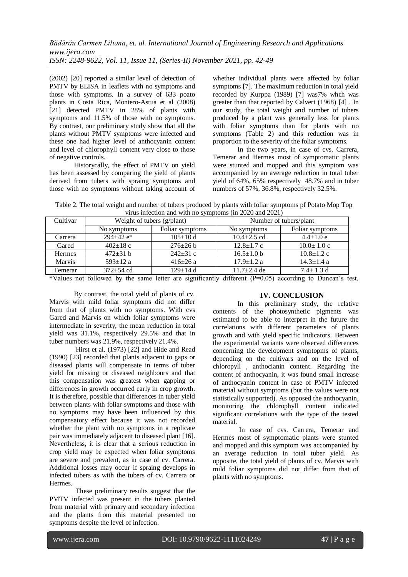(2002) [20] reported a similar level of detection of PMTV by ELISA in leaflets with no symptoms and those with symptoms. In a survey of 633 poato plants in Costa Rica, Montero-Astua et al (2008) [21] detected PMTV in 28% of plants with symptoms and 11.5% of those with no symptoms. By contrast, our preliminary study show that all the plants without PMTV symptoms were infected and these one had higher level of anthocyanin content and level of chlorophyll content very close to those of negative controls.

Historycally, the effect of PMTV on yield has been assessed by comparing the yield of plants derived from tubers with spraing symptoms and those with no symptoms without taking account of whether individual plants were affected by foliar symptoms [7]. The maximum reduction in total yield recorded by Kurppa (1989) [7] was7% whch was greater than that reported by Calvert (1968) [4] . In our study, the total weight and number of tubers produced by a plant was generally less for plants with foliar symptoms than for plants with no symptoms (Table 2) and this reduction was in proportion to the severity of the foliar symptoms.

In the two years, in case of cvs. Carrera, Temerar and Hermes most of symptomatic plants were stunted and mopped and this symptom was accompanied by an average reduction in total tuber yield of 64%, 65% respectively 48.7% and in tuber numbers of 57%, 36.8%, respectively 32.5%.

Table 2. The total weight and number of tubers produced by plants with foliar symptoms pf Potato Mop Top virus infection and with no symptoms (in 2020 and 2021)

| Cultivar      | Weight of tubers (g/plant) |                 | Number of tubers/plant |                  |  |
|---------------|----------------------------|-----------------|------------------------|------------------|--|
|               | No symptoms                | Foliar symptoms | No symptoms            | Foliar symptoms  |  |
| Carrera       | $294+42$ e <sup>*</sup>    | $105 \pm 10 d$  | $10.4 \pm 2.5$ cd      | $4.4 \pm 1.0 e$  |  |
| Gared         | $402 \pm 18$ c             | $276 \pm 26 b$  | $12.8 \pm 1.7$ c       | $10.0 \pm 1.0$ c |  |
| <b>Hermes</b> | $472 \pm 31$ b             | $242 \pm 31$ c  | $16.5 \pm 1.0 b$       | $10.8 \pm 1.2$ c |  |
| Marvis        | $593 \pm 12$ a             | $416 \pm 26 a$  | $17.9 \pm 1.2$ a       | $14.3 \pm 1.4$ a |  |
| Temerar       | $372 \pm 54$ cd            | $129 \pm 14$ d  | $11.7 \pm 2.4$ de      | $7.4 \pm 1.3$ d  |  |

\*Values not followed by the same letter are significantly different  $(P=0.05)$  according to Duncan's test.

By contrast, the total yield of plants of cv. Marvis with mild foliar symptoms did not differ from that of plants with no symptoms. With cvs Gared and Marvis on which foliar symptoms were intermediate in severity, the mean reduction in total yield was 31.1%, respectively 29.5% and that in tuber numbers was 21.9%, respectively 21.4%.

Hirst et al. (1973) [22] and Hide and Read (1990) [23] recorded that plants adjacent to gaps or diseased plants will compensate in terms of tuber yield for missing or diseased neighbours and that this compensation was greatest when gapping or differences in growth occurred early in crop growth. It is therefore, possible that differences in tuber yield between plants with foliar symptoms and those with no symptoms may have been influenced by this compensatory effect because it was not recorded whether the plant with no symptoms in a replicate pair was immediately adjacent to diseased plant [16]. Nevertheless, it is clear that a serious reduction in crop yield may be expected when foliar symptoms are severe and prevalent, as in case of cv. Carrera. Additional losses may occur if spraing develops in infected tubers as with the tubers of cv. Carrera or Hermes.

These preliminary results suggest that the PMTV infected was present in the tubers planted from material with primary and secondary infection and the plants from this material presented no symptoms despite the level of infection.

# **IV. CONCLUSION**

In this preliminary study, the relative contents of the photosynthetic pigments was estimated to be able to interpret in the future the correlations with different parameters of plants growth and with yield specific indicators. Between the experimental variants were observed differences concerning the development symptopms of plants, depending on the cultivars and on the level of chloropyll , anthocianin content. Regarding the content of anthocyanin, it was found small increase of anthocyanin content in case of PMTV infected material without symptoms (but the values were not statistically supported). As opposed the anthocyanin, monitoring the chlorophyll content indicated significant correlations with the type of the tested material.

In case of cvs. Carrera, Temerar and Hermes most of symptomatic plants were stunted and mopped and this symptom was accompanied by an average reduction in total tuber yield. As opposite, the total yield of plants of cv. Marvis with mild foliar symptoms did not differ from that of plants with no symptoms.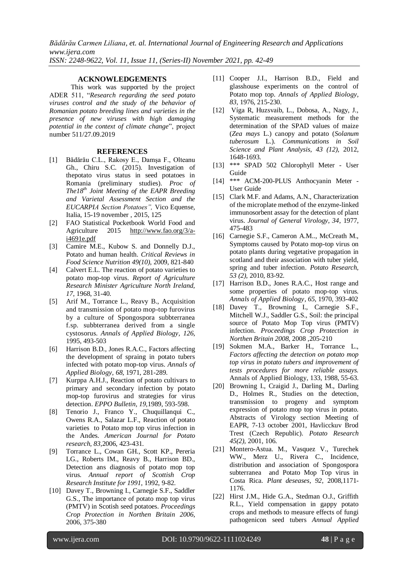#### **ACKNOWLEDGEMENTS**

This work was supported by the project ADER 511, "*Research regarding the seed potato viruses control and the study of the behavior of Romanian potato breeding lines and varieties in the presence of new viruses with high damaging potential in the context of climate change*", project number 511/27.09.2019

#### **REFERENCES**

- [1] Bădărău C.L., Rakosy E., Damşa F., Olteanu Gh., Chiru S.C. (2015). Investigation of thepotato virus status in seed potatoes in Romania (preliminary studies). *Proc of The18th Joint Meeting of the EAPR Breeding and Varietal Assessment Section and the EUCARPIA Section Potatoes",* Vico Equense, Italia, 15-19 november , 2015, 125
- [2] FAO Statistical Pocketbook World Food and Agriculture 2015 [http://www.fao.org/3/a](http://www.fao.org/3/a-i4691e.pdf)[i4691e.pdf](http://www.fao.org/3/a-i4691e.pdf)
- [3] Camire M.E., Kubow S. and Donnelly D.J., Potato and human health. *Critical Reviews in Food Science Nutrition 49(10)*, 2009, 821-840
- [4] Calvert E.L. The reaction of potato varieties to potato mop-top virus. *Report of Agriculture Research Minister Agriculture North Ireland, 17,* 1968, 31-40.
- [5] Arif M., Torrance L., Reavy B., Acquisition and transmission of potato mop-top furovirus by a culture of Spongospora subbterranea f.sp. subbterranea derived from a single cystosorus. *Annals of Applied Biology, 126*, 1995, 493-503
- [6] Harrison B.D., Jones R.A.C., Factors affecting the development of spraing in potato tubers infected with potato mop-top virus. *Annals of Applied Biology, 68*, 1971, 281-289.
- [7] Kurppa A.H.J., Reaction of potato cultivars to primary and secondary infection by potato mop-top furovirus and strategies for virus detection. *EPPO Bulletin, 19,*1989, 593-598.
- [8] Tenorio J., Franco Y., Chuquillanqui C., Owens R.A., Salazar L.F., Reaction of potato varieties to Potato mop top virus infection in the Andes. *American Journal for Potato research, 83*,2006, 423-431.
- [9] Torrance L., Cowan GH., Scott KP., Pereria LG., Roberts IM., Reavy B., Harrison BD., Detection ans diagnosis of potato mop top virus*. Annual report of Scottish Crop Research Institute for 1991*, 1992, 9-82.
- [10] Davey T., Browning I., Carnegie S.F., Saddler G.S., The importance of potato mop top virus (PMTV) in Scotish seed potatoes. *Proceedings Crop Protection in Northen Britain 2006*, 2006, 375-380
- [11] Cooper J.I., Harrison B.D., Field and glasshouse experiments on the control of Potato mop top. *Annals of Applied Biology, 83,* 1976, 215-230.
- [12] Víga R, Huzsvaib, L., Dobosa, A., Nagy, J., Systematic measurement methods for the determination of the SPAD values of maize (*Zea mays* L.) canopy and potato (*Solanum tuberosum* L.). *Communications in Soil Science and Plant Analysis, 43 (12),* 2012, 1648-1693.
- [13] \*\*\* SPAD 502 Chlorophyll Meter User Guide
- [14] \*\*\* ACM-200-PLUS Anthocyanin Meter User Guide
- [15] Clark M.F. and Adams, A.N., Characterization of the microplate method of the enzyme-linked immunosorbent assay for the detection of plant virus. *Journal of General Virology, 34*, 1977, 475-483
- [16] Carnegie S.F., Cameron A.M.., McCreath M., Symptoms caused by Potato mop-top virus on potato plants during vegetative propagation in scotland and their association with tuber yield, spring and tuber infection. *Potato Research, 53 (2),* 2010, 83-92.
- [17] Harrison B.D., Jones R.A.C., Host range and some properties of potato mop-top virus. *Annals of Applied Biology, 65,* 1970, 393-402
- [18] Davey T., Browning I., Carnegie S.F., Mitchell W.J., Saddler G.S., Soil: the principal source of Potato Mop Top virus (PMTV) infection. *Proceedings Crop Protection in Northen Britain 2008*, 2008 ,205-210
- [19] Sokmen M.A., Barker H., Torrance L., *Factors affecting the detection on potato mop top virus in potato tubers and improvement of tests procedures for more reliable assays.*  Annals of Applied Biology, 133, 1988, 55-63.
- [20] Browning I., Craigid J., Darling M., Darling D., Holmes R., Studies on the detection, transmission to progeny and symptom expression of potato mop top virus in potato. Abstracts of Virology section Meeting of EAPR, 7-13 october 2001, Havlicckuv Brod Trest (Czech Republic). *Potato Research 45(2),* 2001, 106.
- [21] Montero-Astua. M., Vasquez V., Turechek WW., Merz U., Rivera C., Incidence, distribution and association of Spongospora subterranea and Potato Mop Top virus in Costa Rica*. Plant deseases, 92,* 2008,1171- 1176.
- [22] Hirst J.M., Hide G.A., Stedman O.J., Griffith R.L., Yield compensation in gappy potato crops and methods to measure effects of fungi pathogenicon seed tubers *Annual Applied*